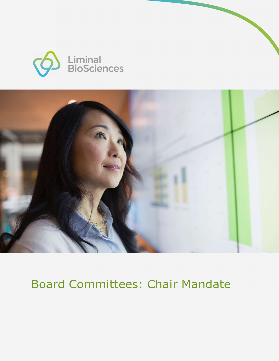



## Board Committees: Chair Mandate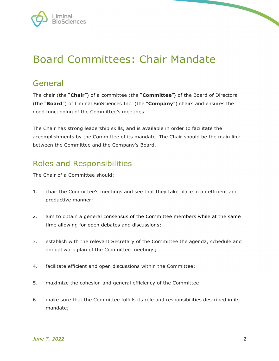

## Board Committees: Chair Mandate

## General

The chair (the "Chair") of a committee (the "Committee") of the Board of Directors (the "Board") of Liminal BioSciences Inc. (the "Company") chairs and ensures the good functioning of the Committee's meetings.

The Chair has strong leadership skills, and is available in order to facilitate the accomplishments by the Committee of its mandate. The Chair should be the main link between the Committee and the Company's Board.

## Roles and Responsibilities

The Chair of a Committee should:

- 1. chair the Committee's meetings and see that they take place in an efficient and productive manner;
- 2. aim to obtain a general consensus of the Committee members while at the same time allowing for open debates and discussions;
- 3. establish with the relevant Secretary of the Committee the agenda, schedule and annual work plan of the Committee meetings;
- 4. facilitate efficient and open discussions within the Committee;
- 5. maximize the cohesion and general efficiency of the Committee;
- 6. make sure that the Committee fulfills its role and responsibilities described in its mandate;